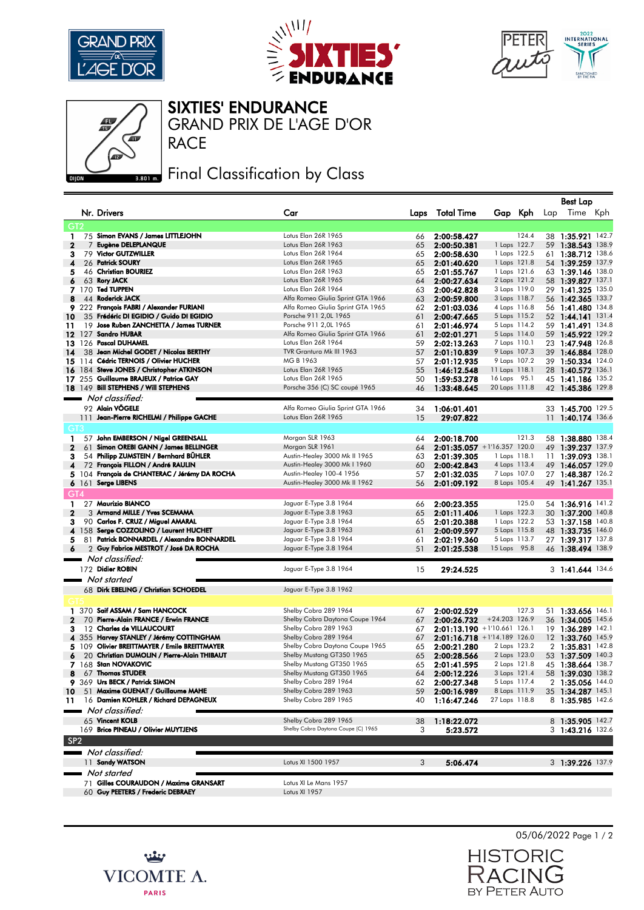





## $n$

SIXTIES' ENDURANCE

RACE GRAND PRIX DE L'AGE D'OR

## **BROID** Final Classification by Class

|                 |       |                                               |                                     |      |                   |                                |     | <b>Best Lap</b>   |  |
|-----------------|-------|-----------------------------------------------|-------------------------------------|------|-------------------|--------------------------------|-----|-------------------|--|
|                 |       | Nr. Drivers                                   | Car                                 | Laps | <b>Total Time</b> | Gap Kph                        | Lap | Time Kph          |  |
|                 |       |                                               |                                     |      |                   |                                |     |                   |  |
| GT <sub>2</sub> |       |                                               |                                     |      |                   |                                |     |                   |  |
| 1               |       | 75 Simon EVANS / James LITTLEJOHN             | Lotus Elan 26R 1965                 | 66   | 2:00:58.427       | 124.4                          |     | 38 1:35.921 142.7 |  |
| $\mathbf{z}$    | 7     | Eugène DELEPLANQUE                            | Lotus Elan 26R 1963                 | 65   | 2:00:50.381       | 1 Laps 122.7                   |     | 59 1:38.543 138.9 |  |
| 3               |       | 79 Victor GUTZWILLER                          | Lotus Elan 26R 1964                 | 65   | 2:00:58.630       | 1 Laps 122.5                   |     | 61 1:38.712 138.6 |  |
| 4               |       | 26 Patrick SOURY                              | Lotus Elan 26R 1965                 | 65   | 2:01:40.620       | 1 Laps 121.8                   |     | 54 1:39.259 137.9 |  |
| 5               |       | 46 Christian BOURIEZ                          | Lotus Elan 26R 1963                 | 65   | 2:01:55.767       | 1 Laps 121.6                   |     | 63 1:39.146 138.0 |  |
| 6               |       | 63 Rory JACK                                  | Lotus Elan 26R 1965                 | 64   | 2:00:27.634       | 2 Laps 121.2                   |     | 58 1:39.827 137.1 |  |
|                 |       | 7 170 Ted TUPPEN                              | Lotus Elan 26R 1964                 | 63   | 2:00:42.828       | 3 Laps 119.0                   |     | 29 1:41.325 135.0 |  |
| 8               |       | 44 Roderick JACK                              | Alfa Romeo Giulia Sprint GTA 1966   | 63   | 2:00:59.800       | 3 Laps 118.7                   |     | 56 1:42.365 133.7 |  |
| 9               |       | 222 François FABRI / Alexander FURIANI        | Alfa Romeo Giulia Sprint GTA 1965   | 62   | 2:01:03.036       | 4 Laps 116.8                   |     | 56 1:41.480 134.8 |  |
| 10              |       | 35 Frédéric DI EGIDIO / Guido DI EGIDIO       | Porsche 911 2,0L 1965               | 61   | 2:00:47.665       | 5 Laps 115.2                   |     | 52 1:44.141 131.4 |  |
| 11              |       | 19 Jose Ruben ZANCHETTA / James TURNER        | Porsche 911 2,0L 1965               | 61   | 2:01:46.974       | 5 Laps 114.2                   |     | 59 1:41.491 134.8 |  |
| 12 127          |       | <b>Sandro HUBAR</b>                           | Alfa Romeo Giulia Sprint GTA 1966   | 61   | 2:02:01.271       | 5 Laps 114.0                   |     | 59 1:45.922 129.2 |  |
|                 |       | 13 126 Pascal DUHAMEL                         | Lotus Elan 26R 1964                 | 59   | 2:02:13.263       | 7 Laps 110.1                   |     | 23 1:47.948 126.8 |  |
| 14              |       | 38 Jean Michel GODET / Nicolas BERTHY         | TVR Grantura Mk III 1963            | 57   | 2:01:10.839       | 9 Laps 107.3                   |     | 39 1:46.884 128.0 |  |
| 15 114          |       | <b>Cédric TERNOIS / Olivier HUCHER</b>        | MG B 1963                           | 57   | 2:01:12.935       | 9 Laps 107.2                   |     | 39 1:50.334 124.0 |  |
|                 |       | 16 184 Steve JONES / Christopher ATKINSON     | Lotus Elan 26R 1965                 | 55   | 1:46:12.548       | 11 Laps 118.1                  |     | 28 1:40.572 136.1 |  |
|                 |       | 17 255 Guillaume BRAJEUX / Patrice GAY        | Lotus Elan 26R 1965                 |      |                   |                                |     |                   |  |
|                 |       |                                               |                                     | 50   | 1:59:53.278       | 16 Laps 95.1                   |     | 45 1:41.186 135.2 |  |
|                 |       | 18 149 Bill STEPHENS / Will STEPHENS          | Porsche 356 (C) SC coupé 1965       | 46   | 1:33:48.645       | 20 Laps 111.8                  |     | 42 1:45.386 129.8 |  |
|                 |       | Not classified:                               |                                     |      |                   |                                |     |                   |  |
|                 |       | 92 Alain VÖGELE                               | Alfa Romeo Giulia Sprint GTA 1966   | 34   | 1:06:01.401       |                                |     | 33 1:45.700 129.5 |  |
|                 |       | 111 Jean-Pierre RICHELMI / Philippe GACHE     | Lotus Elan 26R 1965                 | 15   | 29:07.822         |                                |     | 11 1:40.174 136.6 |  |
| GT3             |       |                                               |                                     |      |                   |                                |     |                   |  |
| 1               |       | 57 John EMBERSON / Nigel GREENSALL            | Morgan SLR 1963                     |      | 2:00:18.700       | 121.3                          |     | 58 1:38.880 138.4 |  |
|                 |       | Simon OREBI GANN / James BELLINGER            | Morgan SLR 1961                     | 64   |                   |                                |     |                   |  |
| 2               | 61    |                                               |                                     | 64   |                   | 2:01:35.057 +1'16.357 120.0    |     | 49 1:39.237 137.9 |  |
| з               |       | 54 Philipp ZUMSTEIN / Bernhard BÜHLER         | Austin-Healey 3000 Mk II 1965       | 63   | 2:01:39.305       | 1 Laps 118.1                   |     | 11 1:39.093 138.1 |  |
| 4               |       | 72 François FILLON / André RAULIN             | Austin-Healey 3000 Mk I 1960        | 60   | 2:00:42.843       | 4 Laps 113.4                   |     | 49 1:46.057 129.0 |  |
|                 |       | 5 104 François de CHANTERAC / Jérémy DA ROCHA | Austin-Healey 100-4 1956            | 57   | 2:01:32.035       | 7 Laps 107.0                   |     | 27 1:48.387 126.2 |  |
|                 | 6 161 | <b>Serge LIBENS</b>                           | Austin-Healey 3000 Mk II 1962       | 56   | 2:01:09.192       | 8 Laps 105.4                   |     | 49 1:41.267 135.1 |  |
| GT4             |       |                                               |                                     |      |                   |                                |     |                   |  |
| 1               |       | 27 Maurizio BIANCO                            | Jaguar E-Type 3.8 1964              | 66   | 2:00:23.355       | 125.0                          |     | 54 1:36.916 141.2 |  |
| $\mathbf{2}$    |       | 3 Armand MILLE / Yves SCEMAMA                 | Jaguar E-Type 3.8 1963              | 65   | 2:01:11.406       | 1 Laps 122.3                   |     | 30 1:37.200 140.8 |  |
| з               |       | 90 Carlos F. CRUZ / Miguel AMARAL             | Jaguar E-Type 3.8 1964              | 65   | 2:01:20.388       | 1 Laps 122.2                   |     | 53 1:37.158 140.8 |  |
|                 |       | 4 158 Serge COZZOLINO / Laurent HUCHET        | Jaguar E-Type 3.8 1963              | 61   | 2:00:09.597       | 5 Laps 115.8                   |     | 48 1:33.735 146.0 |  |
| 5               |       | 81 Patrick BONNARDEL / Alexandre BONNARDEL    | Jaguar E-Type 3.8 1964              | 61   | 2:02:19.360       | 5 Laps 113.7                   |     | 27 1:39.317 137.8 |  |
| 6               |       | 2 Guy Fabrice MESTROT / José DA ROCHA         | Jaguar E-Type 3.8 1964              | 51   | 2:01:25.538       | 15 Laps 95.8                   |     | 46 1:38.494 138.9 |  |
|                 |       | Not classified:                               |                                     |      |                   |                                |     |                   |  |
|                 |       | 172 Didier ROBIN                              | Jaguar E-Type 3.8 1964              |      |                   |                                |     |                   |  |
|                 |       |                                               |                                     | 15   | 29:24.525         |                                |     | 3 1:41.644 134.6  |  |
|                 |       | Not started                                   |                                     |      |                   |                                |     |                   |  |
|                 |       | 68 Dirk EBELING / Christian SCHOEDEL          | Jaguar E-Type 3.8 1962              |      |                   |                                |     |                   |  |
|                 |       |                                               |                                     |      |                   |                                |     |                   |  |
| 1               |       | 370 Saif ASSAM / Sam HANCOCK                  | Shelby Cobra 289 1964               | 67   | 2:00:02.529       | 127.3                          |     | 51 1:33.656 146.1 |  |
| 2               | 70    | Pierre-Alain FRANCE / Erwin FRANCE            | Shelby Cobra Daytona Coupe 1964     | 67   | 2:00:26.732       | $+24.203$ 126.9                |     | 36 1:34.005 145.6 |  |
| з               |       | 12 Charles de VILLAUCOURT                     | Shelby Cobra 289 1963               | 67   |                   | $2:01:13.190 + 1'10.661$ 126.1 |     | 19 1:36.289 142.1 |  |
| 4               |       | 355 Harvey STANLEY / Jérémy COTTINGHAM        | Shelby Cobra 289 1964               | 67   |                   | $2:01:16.718 + 1'14.189$ 126.0 |     | 12 1:33.760 145.9 |  |
|                 | 5 109 | Olivier BREITTMAYER / Emile BREITTMAYER       | Shelby Cobra Daytona Coupe 1965     | 65   | 2:00:21.280       | 2 Laps 123.2                   |     | 2 1:35.831 142.8  |  |
|                 |       | 20 Christian DUMOLIN / Pierre-Alain THIBAUT   | Shelby Mustang GT350 1965           | 65   |                   | 2 Laps 123.0                   |     |                   |  |
| 6               |       | 168 Stan NOVAKOVIC                            |                                     |      | 2:00:28.566       |                                |     | 53 1:37.509 140.3 |  |
| 7               |       |                                               | Shelby Mustang GT350 1965           | 65   | 2:01:41.595       | 2 Laps 121.8                   |     | 45 1:38.664 138.7 |  |
| 8               |       | 67 Thomas STUDER                              | Shelby Mustang GT350 1965           | 64   | 2:00:12.226       | 3 Laps 121.4                   |     | 58 1:39.030 138.2 |  |
|                 |       | 9 369 Urs BECK / Patrick SIMON                | Shelby Cobra 289 1964               | 62   | 2:00:27.348       | 5 Laps 117.4                   |     | 2 1:35.056 144.0  |  |
| 10              |       | 51 Maxime GUENAT / Guillaume MAHE             | Shelby Cobra 289 1963               | 59   | 2:00:16.989       | 8 Laps 111.9                   |     | 35 1:34.287 145.1 |  |
| 11              |       | 16 Damien KOHLER / Richard DEPAGNEUX          | Shelby Cobra 289 1965               | 40   | 1:16:47.246       | 27 Laps 118.8                  |     | 8 1:35.985 142.6  |  |
|                 |       | Not classified:                               |                                     |      |                   |                                |     |                   |  |
|                 |       | 65 Vincent KOLB                               | Shelby Cobra 289 1965               | 38   | 1:18:22.072       |                                |     | 8 1:35.905 142.7  |  |
|                 |       | 169 Brice PINEAU / Olivier MUYTJENS           | Shelby Cobra Daytona Coupe (C) 1965 | 3    | 5:23.572          |                                |     | 3 1:43.216 132.6  |  |
| SP <sub>2</sub> |       |                                               |                                     |      |                   |                                |     |                   |  |
|                 |       |                                               |                                     |      |                   |                                |     |                   |  |
|                 |       | Not classified:                               |                                     |      |                   |                                |     |                   |  |
|                 |       | 11 Sandy WATSON                               | Lotus XI 1500 1957                  | 3    | 5:06.474          |                                |     | 3 1:39.226 137.9  |  |
|                 |       | Not started                                   |                                     |      |                   |                                |     |                   |  |
|                 |       | 71 Gilles COURAUDON / Maxime GRANSART         | Lotus XI Le Mans 1957               |      |                   |                                |     |                   |  |
|                 |       | 60 Guy PEETERS / Frederic DEBRAEY             | Lotus XI 1957                       |      |                   |                                |     |                   |  |



05/06/2022 Page 1 / 2